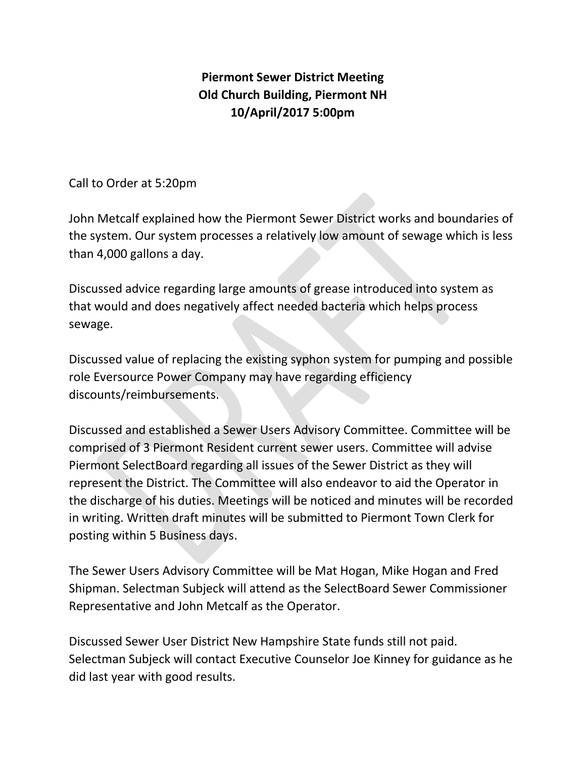## **Piermont Sewer District Meeting Old Church Building, Piermont NH 10/April/2017 5:00pm**

Call to Order at 5:20pm

John Metcalf explained how the Piermont Sewer District works and boundaries of the system. Our system processes a relatively low amount of sewage which is less than 4,000 gallons a day.

Discussed advice regarding large amounts of grease introduced into system as that would and does negatively affect needed bacteria which helps process sewage.

Discussed value of replacing the existing syphon system for pumping and possible role Eversource Power Company may have regarding efficiency discounts/reimbursements.

Discussed and established a Sewer Users Advisory Committee. Committee will be comprised of 3 Piermont Resident current sewer users. Committee will advise Piermont SelectBoard regarding all issues of the Sewer District as they will represent the District. The Committee will also endeavor to aid the Operator in the discharge of his duties. Meetings will be noticed and minutes will be recorded in writing. Written draft minutes will be submitted to Piermont Town Clerk for posting within 5 Business days.

The Sewer Users Advisory Committee will be Mat Hogan, Mike Hogan and Fred Shipman. Selectman Subjeck will attend as the SelectBoard Sewer Commissioner Representative and John Metcalf as the Operator.

Discussed Sewer User District New Hampshire State funds still not paid. Selectman Subjeck will contact Executive Counselor Joe Kinney for guidance as he did last year with good results.